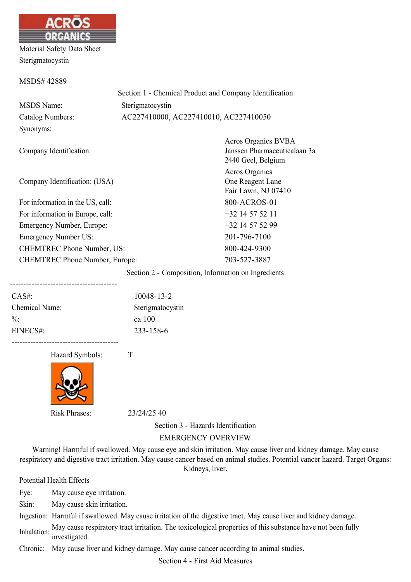

Material Safety Data Sheet Sterigmatocystin

#### MSDS# 42889

|                         | Section 1 - Chemical Product and Company Identification |
|-------------------------|---------------------------------------------------------|
| <b>MSDS</b> Name:       | Sterigmatocystin                                        |
| Catalog Numbers:        | AC227410000, AC227410010, AC227410050                   |
| Synonyms:               |                                                         |
|                         | <b>Acros Organics BVBA</b>                              |
| Company Identification: | Janssen Pharmaceuticalaar                               |
|                         | 2440 Geel, Belgium                                      |

Company Identification: (USA)

For information in the US, call: 800-ACROS-01 For information in Europe, call:  $+32$  14 57 52 11 Emergency Number, Europe:  $+32$  14 57 52 99 Emergency Number US: 201-796-7100 CHEMTREC Phone Number, US: 800-424-9300 CHEMTREC Phone Number, Europe: 703-527-3887

n 3a 2440 Geel, Belgium Acros Organics One Reagent Lane Fair Lawn, NJ 07410

Section 2 - Composition, Information on Ingredients

| $CAS#$ :        | 10048-13-2       |
|-----------------|------------------|
| Chemical Name:  | Sterigmatocystin |
| $\frac{0}{0}$ . | ca 100           |
| EINECS#:        | 233-158-6        |

Hazard Symbols: T



----------------------------------------

Risk Phrases: 23/24/25 40

Section 3 - Hazards Identification

#### EMERGENCY OVERVIEW

Warning! Harmful if swallowed. May cause eye and skin irritation. May cause liver and kidney damage. May cause respiratory and digestive tract irritation. May cause cancer based on animal studies. Potential cancer hazard. Target Organs: Kidneys, liver.

Potential Health Effects

Eye: May cause eye irritation.

Skin: May cause skin irritation.

Ingestion: Harmful if swallowed. May cause irritation of the digestive tract. May cause liver and kidney damage.

Inhalation: May cause respiratory tract irritation. The toxicological properties of this substance have not been fully investigated.

Chronic: May cause liver and kidney damage. May cause cancer according to animal studies.

Section 4 - First Aid Measures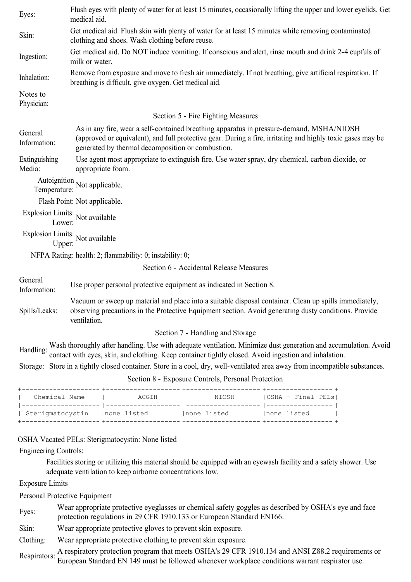| Eyes:                   | Flush eyes with plenty of water for at least 15 minutes, occasionally lifting the upper and lower eyelids. Get<br>medical aid.                                                                                                                               |  |  |  |
|-------------------------|--------------------------------------------------------------------------------------------------------------------------------------------------------------------------------------------------------------------------------------------------------------|--|--|--|
| Skin:                   | Get medical aid. Flush skin with plenty of water for at least 15 minutes while removing contaminated<br>clothing and shoes. Wash clothing before reuse.                                                                                                      |  |  |  |
| Ingestion:              | Get medical aid. Do NOT induce vomiting. If conscious and alert, rinse mouth and drink 2-4 cupfuls of<br>milk or water.                                                                                                                                      |  |  |  |
| Inhalation:             | Remove from exposure and move to fresh air immediately. If not breathing, give artificial respiration. If<br>breathing is difficult, give oxygen. Get medical aid.                                                                                           |  |  |  |
| Notes to<br>Physician:  |                                                                                                                                                                                                                                                              |  |  |  |
|                         | Section 5 - Fire Fighting Measures                                                                                                                                                                                                                           |  |  |  |
| General<br>Information: | As in any fire, wear a self-contained breathing apparatus in pressure-demand, MSHA/NIOSH<br>(approved or equivalent), and full protective gear. During a fire, irritating and highly toxic gases may be<br>generated by thermal decomposition or combustion. |  |  |  |
| Extinguishing<br>Media: | Use agent most appropriate to extinguish fire. Use water spray, dry chemical, carbon dioxide, or<br>appropriate foam.                                                                                                                                        |  |  |  |
| Temperature:            | Autoignition Not applicable.                                                                                                                                                                                                                                 |  |  |  |
|                         | Flash Point: Not applicable.                                                                                                                                                                                                                                 |  |  |  |
| Lower:                  | Explosion Limits: Not available                                                                                                                                                                                                                              |  |  |  |
| Upper:                  | Explosion Limits: Not available                                                                                                                                                                                                                              |  |  |  |
|                         | NFPA Rating: health: 2; flammability: 0; instability: 0;                                                                                                                                                                                                     |  |  |  |
|                         | Section 6 - Accidental Release Measures                                                                                                                                                                                                                      |  |  |  |
| General<br>Information: | Use proper personal protective equipment as indicated in Section 8.                                                                                                                                                                                          |  |  |  |
| Spills/Leaks:           | Vacuum or sweep up material and place into a suitable disposal container. Clean up spills immediately,<br>observing precautions in the Protective Equipment section. Avoid generating dusty conditions. Provide<br>ventilation.                              |  |  |  |
|                         | Section 7 - Handling and Storage                                                                                                                                                                                                                             |  |  |  |
|                         | Handling: Wash thoroughly after handling. Use with adequate ventilation. Minimize dust generation and accumulation. Avoid contact with eyes, skin, and clothing. Keep container tightly closed. Avoid ingestion and inhalation                               |  |  |  |
|                         | Storage: Store in a tightly closed container. Store in a cool, dry, well-ventilated area away from incompatible substances.                                                                                                                                  |  |  |  |
|                         | Section 8 - Exposure Controls, Personal Protection                                                                                                                                                                                                           |  |  |  |
|                         |                                                                                                                                                                                                                                                              |  |  |  |

| Chemical Name    | ACGIH        | NIOSH        | IOSHA - Final PELs! |
|------------------|--------------|--------------|---------------------|
| Sterigmatocystin | Inone listed | Inone listed | Inone listed        |

# OSHA Vacated PELs: Sterigmatocystin: None listed

## Engineering Controls:

Facilities storing or utilizing this material should be equipped with an eyewash facility and a safety shower. Use adequate ventilation to keep airborne concentrations low.

Exposure Limits

Personal Protective Equipment

| Eyes: | Wear appropriate protective eyeglasses or chemical safety goggles as described by OSHA's eye and face<br>protection regulations in 29 CFR 1910.133 or European Standard EN166. |
|-------|--------------------------------------------------------------------------------------------------------------------------------------------------------------------------------|
|-------|--------------------------------------------------------------------------------------------------------------------------------------------------------------------------------|

Skin: Wear appropriate protective gloves to prevent skin exposure.

Clothing: Wear appropriate protective clothing to prevent skin exposure.

Respirators: A respiratory protection program that meets OSHA's 29 CFR 1910.134 and ANSI Z88.2 requirements or European Standard EN 149 must be followed whenever workplace conditions warrant respirator use.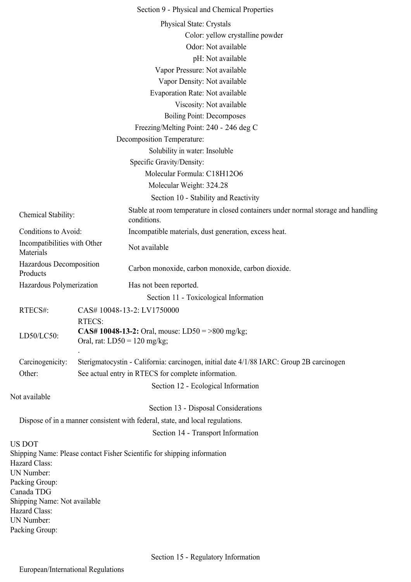|                                           |                                                                                           | Section 9 - Physical and Chemical Properties                                                     |  |
|-------------------------------------------|-------------------------------------------------------------------------------------------|--------------------------------------------------------------------------------------------------|--|
|                                           |                                                                                           | Physical State: Crystals                                                                         |  |
|                                           |                                                                                           | Color: yellow crystalline powder                                                                 |  |
|                                           |                                                                                           | Odor: Not available                                                                              |  |
|                                           |                                                                                           | pH: Not available                                                                                |  |
|                                           |                                                                                           | Vapor Pressure: Not available                                                                    |  |
|                                           |                                                                                           | Vapor Density: Not available                                                                     |  |
|                                           |                                                                                           | Evaporation Rate: Not available                                                                  |  |
|                                           |                                                                                           | Viscosity: Not available                                                                         |  |
|                                           |                                                                                           | <b>Boiling Point: Decomposes</b>                                                                 |  |
|                                           |                                                                                           | Freezing/Melting Point: 240 - 246 deg C                                                          |  |
|                                           |                                                                                           |                                                                                                  |  |
|                                           |                                                                                           | <b>Decomposition Temperature:</b>                                                                |  |
|                                           |                                                                                           | Solubility in water: Insoluble                                                                   |  |
|                                           |                                                                                           | Specific Gravity/Density:                                                                        |  |
|                                           |                                                                                           | Molecular Formula: C18H12O6                                                                      |  |
|                                           |                                                                                           | Molecular Weight: 324.28                                                                         |  |
|                                           |                                                                                           | Section 10 - Stability and Reactivity                                                            |  |
| Chemical Stability:                       |                                                                                           | Stable at room temperature in closed containers under normal storage and handling<br>conditions. |  |
| Conditions to Avoid:                      |                                                                                           | Incompatible materials, dust generation, excess heat.                                            |  |
| Incompatibilities with Other<br>Materials |                                                                                           | Not available                                                                                    |  |
| Hazardous Decomposition<br>Products       |                                                                                           | Carbon monoxide, carbon monoxide, carbon dioxide.                                                |  |
| Hazardous Polymerization                  |                                                                                           | Has not been reported.                                                                           |  |
|                                           |                                                                                           | Section 11 - Toxicological Information                                                           |  |
| RTECS#:                                   |                                                                                           | CAS# 10048-13-2: LV1750000                                                                       |  |
|                                           | <b>RTECS:</b>                                                                             |                                                                                                  |  |
| LD50/LC50:                                | <b>CAS# 10048-13-2:</b> Oral, mouse: LD50 = >800 mg/kg;<br>Oral, rat: $LD50 = 120$ mg/kg; |                                                                                                  |  |
| Carcinogenicity:                          | Sterigmatocystin - California: carcinogen, initial date 4/1/88 IARC: Group 2B carcinogen  |                                                                                                  |  |
| Other:                                    |                                                                                           | See actual entry in RTECS for complete information.                                              |  |
|                                           |                                                                                           | Section 12 - Ecological Information                                                              |  |
| Not available                             |                                                                                           |                                                                                                  |  |
|                                           |                                                                                           | Section 13 - Disposal Considerations                                                             |  |
|                                           |                                                                                           | Dispose of in a manner consistent with federal, state, and local regulations.                    |  |
|                                           |                                                                                           | Section 14 - Transport Information                                                               |  |
| <b>US DOT</b>                             |                                                                                           |                                                                                                  |  |
| Hazard Class:                             |                                                                                           | Shipping Name: Please contact Fisher Scientific for shipping information                         |  |
| <b>UN Number:</b><br>Packing Group:       |                                                                                           |                                                                                                  |  |
| Canada TDG                                |                                                                                           |                                                                                                  |  |
| Shipping Name: Not available              |                                                                                           |                                                                                                  |  |
| Hazard Class:                             |                                                                                           |                                                                                                  |  |
| <b>UN Number:</b>                         |                                                                                           |                                                                                                  |  |
| Packing Group:                            |                                                                                           |                                                                                                  |  |
|                                           |                                                                                           |                                                                                                  |  |